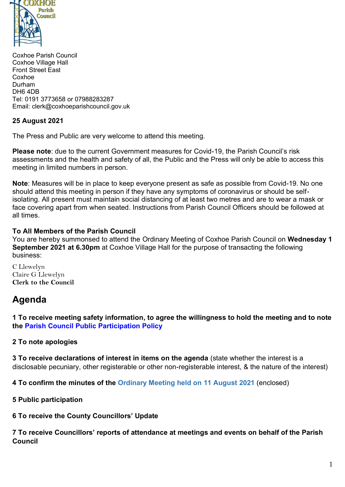

Coxhoe Parish Council Coxhoe Village Hall Front Street East Coxhoe Durham DH6 4DB Tel: 0191 3773658 or 07988283287 Email: clerk@coxhoeparishcouncil.gov.uk

## **25 August 2021**

The Press and Public are very welcome to attend this meeting.

**Please note**: due to the current Government measures for Covid-19, the Parish Council's risk assessments and the health and safety of all, the Public and the Press will only be able to access this meeting in limited numbers in person.

**Note**: Measures will be in place to keep everyone present as safe as possible from Covid-19. No one should attend this meeting in person if they have any symptoms of coronavirus or should be selfisolating. All present must maintain social distancing of at least two metres and are to wear a mask or face covering apart from when seated. Instructions from Parish Council Officers should be followed at all times.

#### **To All Members of the Parish Council**

You are hereby summonsed to attend the Ordinary Meeting of Coxhoe Parish Council on **Wednesday 1 September 2021 at 6.30pm** at Coxhoe Village Hall for the purpose of transacting the following business:

C Llewelyn Claire G Llewelyn **Clerk to the Council** 

# **Agenda**

**1 To receive meeting safety information, to agree the willingness to hold the meeting and to note the [Parish Council Public Participation Policy](http://coxhoeparishcouncil.gov.uk/important-documents-and-policies/public-participation-policy-fmarch-2020-review-date-march-2022/)**

## **2 To note apologies**

**3 To receive declarations of interest in items on the agenda** (state whether the interest is a disclosable pecuniary, other registerable or other non-registerable interest, & the nature of the interest)

**4 To confirm the minutes of the Ordinary Meeting held on 11 August 2021** (enclosed)

**5 Public participation**

**6 To receive the County Councillors' Update**

**7 To receive Councillors' reports of attendance at meetings and events on behalf of the Parish Council**